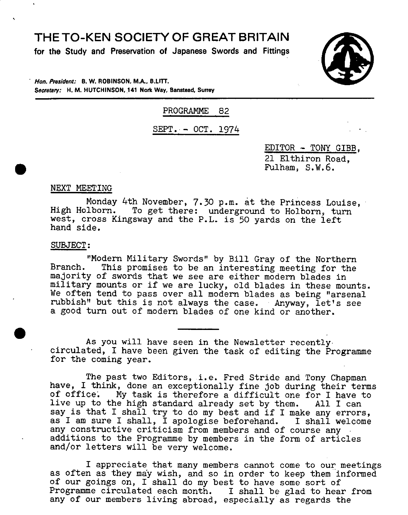THETO-KEN SOCIETY OF GREAT BRITAIN

**for the Study and Preservation of Japanese Swords and Fittings** 



**Hon. Pin/dent: B. W. ROBINSON. MA, B.LITI.**  Secretary: H. M. HUTCHINSON, 141 Nork Way, Banstead, Surrey

# PROGRAMME 82

SEPT. - OCT. 1974

EDITOR - TONY GIBE, 21 Elthiron Road, Fulham, S.W.6.

#### NEXT MEETING

Monday 4th November, 7.30 p.m. at the Princess Louise, High Holborn. To get there: underground to Holborn, turn west, cross Kingsway and the P.L. is 50 yards on the left hand side.

#### SUBJECT:

 $\bullet$ 

"Modern Military Swords" by Bill Gray of the Northern<br>Branch. This promises to be an interesting meeting for the This promises to be an interesting meeting for the majority of swords that we see are either modern blades in military mounts or if we are lucky, old blades in these mounts. We often tend to pass over all modern blades as being "arsenal rubbish" but this is not always the case. Anyway, let's see a good turn out of modern blades of one kind or another.

As you will have seen in the Newsletter recently. circulated, I have been given the task of editing the Programme for the coming year.

The past two Editors, i.e. Fred Stride and Tony Chapman have, I think, done an exceptionally fine job during their terms of office; My task is therefore a difficult one for I have to live up to the high standard already set by them. All I can say is that I shall try to do my best and if I make any errors, as I am sure I shall, I apologise beforehand. I shall welcome any constructive criticism from members and of course any additions to the Programme by members in the form of articles and/or letters will be very welcome.

I appreciate that many members cannot come to our meetings as often as they may wish, and so in order to keep them informed of our goings on, I shall do my best to have some sort of Programme circulated each month. I shall be glad to hear from any of our members living abroad, especially as regards the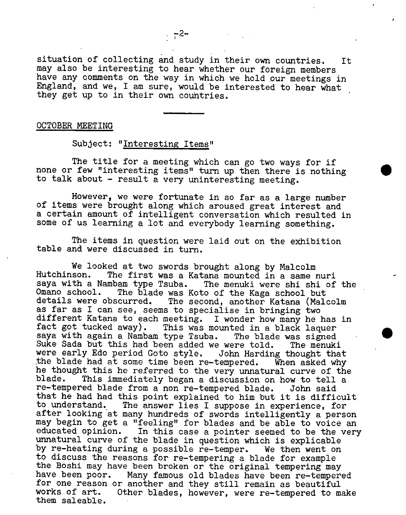situation of collecting and study in their own countries. It may also be interesting to hear whether our foreign members have any comments on the way in which we hold our meetings in England, and we, I am sure, would be interested to hear what they get up to in their own couhtries.

#### OCTOBER MEETING

Subject: "Interesting Items"

The title for a meeting which can go two ways for if none or few "interesting items" turn up then there is nothing to talk about - result a very uninteresting meeting.

However, we were fortunate in so far as a large number of items were brought along which aroused great interest and a certain amount of intelligent conversation which resulted in some of us learning a lot and everybody learning something.

The items in question were laid out on the exhibition table and were discussed in turn.

We looked at two swords brought along by Malcolm<br>Hutchinson. The first was a Katana mounted in a same r Hutchinson. The first was a Katana mounted in a same nuri<br>saya with a Nambam type Tsuba. The menuki were shi shi of saya with a Nambam type Tsuba. The menuki were shi shi of the Omano school. The blade was Koto of the Kaga school but<br>details were obscurred. The second, another Katana (Mal The second, another Katana (Malcolm as far as I can see, seems to specialise in bringing two different Katana to each meeting. I wonder how many he has in fact got tucked away). This was mounted in a black laquer This was mounted in a black laquer saya with again a Nambam type Tsuba. The blade was signed<br>Suke Sada but this had been added we were told. The menuki Suke Sada but this had been added we were told. The menuki<br>were early Edo period Goto style. John Harding thought that were early Edo period Goto style. the blade had at some time been re-tempered. When asked why he thought this he referred to the very unnatural curve of the blade. This immediately began a discussion on how to tell a This immediately began a discussion on how to tell a red blade from a non re-tempered blade. John said re-tempered blade from a non re-tempered blade. that he had had this point explained to him but it is difficult<br>to understand. The answer lies I suppose in experience, for The answer lies I suppose in experience, for after looking at many hundreds of swords intelligently a person may begin to get a "feeling" for blades and be able to voice an educated opinion. In this case a pointer seemed to be the very In this case a pointer seemed to be the very unnatural curve of the blade in question which is explicable by re-heating during a possible re-temper. We then went on to discuss the reasons for re-tempering a blade for example the Boshi may have been broken or the original tempering may have been poor. Many famous old blades have been re-temper Many famous old blades have been re-tempered for one reason or another and they still remain as beautiful<br>works of art. Other blades, however, were re-tempered to m Other blades, however, were re-tempered to make them saleable.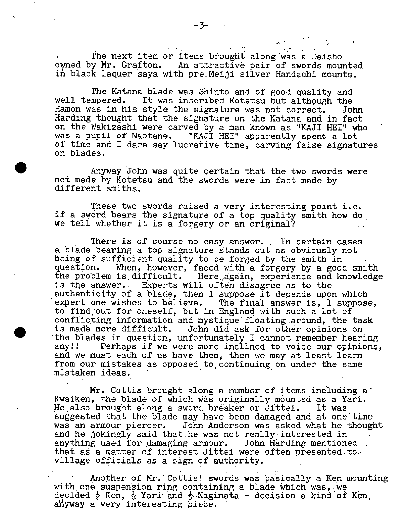The next item or items brought along was a Daisho owned by Mr. Grafton. An attractive pair of swords mounted in black laquer saya with pre Meiji silver Handachi mounts.

The Katana blade was Shinto and of good quality and well tempered. It was inscribed Kotetsu but although the Hamon was in his style the signature was not correct. John Harding thought that the signature on the Katana and in fact on the Wakizashi were carved by a man known as "KAJI HEI" who<br>was a pupil of Naotane. "KAJI HEI" apparently spent a lot "KAJI HEI" apparently spent a lot of time and I dare say lucrative time, carving false signatures on blades.

• Anyway John was quite pertain that, the two swords were not made by Kotetsu and the swords were in fact made by different smiths.

These two swords raised a very interesting point i.e. if a sword bears the signature of a top quality smith how do we tell whether it is a forgery or an original?

There is of course no easy answer. In certain cases a blade bearing a top signature stands out as obviously not being of sufficient quality to be forged by the smith in question. When, however, faced with a forgery by a good When, however, faced with a forgery by a good smith the problem is difficult. Here again, experience and knowledge is the answer. Experts will often disagree as to the authenticity of a blade, then I suppose it depends upon which expert one wishes to believe. The final answer is, I suppose, to find"out for oneself,' but in England with such a lot of conflicting information and mystique floating around, the task<br>is made more difficult. John did ask for other opinions on John did ask for other opinions on the blades in question, unfortunately I cannot remember hearing any!! Perhaps if we were more inclined to voice our opinions, and we must each of us have them, then we may at least learn from our mistakes as opposed to continuing on under the same mistaken ideas.

Mr. Cottis brought along a number of items including a Kwaiken, the blade of which was originally mounted as a Yari.<br>He also brought along a sword breaker or Jittei. It was He also brought along a sword breaker or Jittei. suggested that the blade' may have been damaged and at onetime was an armour piercer. John Anderson was asked what he thought and he jokingly said that he was not really interested in anything used for, damaging armour, John Harding mentioned that as a matter of interest Jittei were often presented.to village officials as a sign of authority.

Another of Mr. Cottis' swords was basically a Ken mounting with one suspension ring containing a blade which was, we decided  $\frac{1}{2}$  Ken,  $\frac{1}{2}$  Yari and  $\frac{1}{2}$  Naginata - decision a kind of Ken; ahyway a very interesting piece.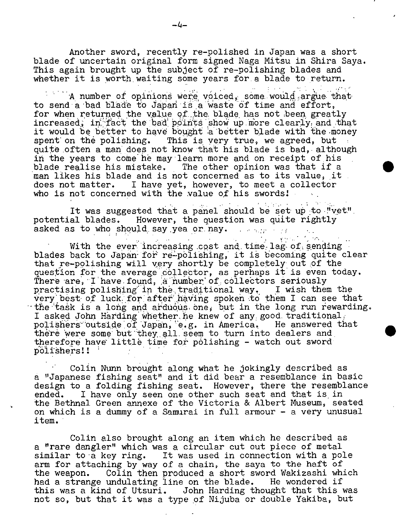Another sword, recently re-polished in Japan was a short blade of uncertain original form signed Naga Mitsu in Shira Saya. This again brought up the subject of re-polishing blades and whether it is worth waiting some years for a blade to return.

A number of opinions were voiced, some would argue that to send a bad blade to Japan is a waste of time and effort, for when returned the value of the blade has not been greatly increased, in fact the bad points show up more clearly and that it would be better to have bought a better blade with the money spent on the polishing. This is very true, we agreed, but quite often a man does not know that his blade is bad, although in the years to come he may learn more and on receipt of his blade realise his mistake. The other opinion was that if a man likes his blade and is not concerned as to its value, it does not matter. I have yet, however, to meet a collector who is not concerned with the value of his swords!

.<br>It was suggested that a panel should be set up to "vet". potential blades. However, the question was quite rightly asked as to who should say yea or nay. The same  $\mathbf{r}$ 

 $\mathcal{L} = \mathcal{L} \mathcal{L} \mathcal{L} \mathcal{L} \mathcal{L} \mathcal{L} \mathcal{L} \mathcal{L}$ With the ever increasing cost and time lag of sending blades back to Japan for re-polishing, it is becoming quite clear that re-polishing will very shortly be completely out of the question for the average collector, as perhaps it is even today. There are, I have found, a number of collectors seriously practising polishing in the traditional way. I wish them the very best of luck for after having spoken to them I can see that  $\cdot$  the task is a long and arduous one, but in the long run rewarding. I asked John Harding whether he knew of any good traditional, polishers outside of Japan, e.g. in America. He answered that there were some but they all seem to turn into dealers and therefore have little time for polishing - watch out sword polishers!!

Colin Nunn brought along what he jokingly described as a "Japanese fishing seat" and it did bear a resemblance in basic design to a folding fishing seat. However, there the resemblance ended. I have only seen one other such seat and that is in the Bethnal Green annexe of the Victoria & Albert Museum, seated on which is a dummy of a Samurai in full armour - a very unusual item.

Colin also brought along an item which he described as a "rare dangler" which was a circular cut out piece of metal similar to 'a key ring. It was used in connection with a pole arm for attaching by way of a chain, the saya to the haft of the weapon. Colin then produced a short sword Wakizashi which had a strange undulating line on the blade. He wondered if this was a kind of Utsuri. John Harding thought that this was not so, but that it was a type of Nijuba or double Yakiba, but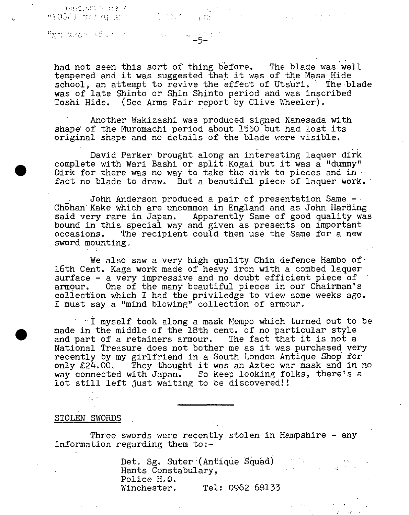าคณะเลือกกรรม 

**Tage home to add to the complete the second control of the second control of the second control of the second** 

had not seen this sort of thing before. The blade was well tempered and it was suggested that it was of the Masa Hide school, an attempt to revive the effect of Utsuri. The blade was of late Shinto or Shin Shinto period and was inscribed Toshi Hide. (See Arms Fair report by Clive Wheeler).

Another Wakizashi was produced signed Kanesada with shape of the Muromachi period about 1550 but had lost its original shape and no details of the blade were visible.

David Parker brought along an interesting laquer dirk complete with Wari Bashi or split Kogai but it was a "dummy" complete with Wari Bashi or split Kogai but it was a "dummy"<br>Dirk for there was no way to take the dirk to pieces and in fact no blade to draw. But a beautiful piece of laquer work.

> John Anderson produced a pair of presentation Same  $\cdot$ Chohan Kake which are uncommon in England and as John Harding said very rare in Japan. Apparently Same of good quality was bound in this special way and given as presents on important occasions. The recipient could then use the Same for a new sword mounting.

We also saw a very high quality Chin defence Hambo of 16th Cent. Kaga work made of heavy iron with a combed laquer surface - a very impressive and no doubt efficient piece of armour. One of the many beautiful pieces in our Chairman's collection which I had the priviledge to view some weeks ago. I must say a "mind blowing" collection of armour.

I myself took along a mask Mempo which turned out to be made in the middle of the 18th cent. of no particular style made in the middle of the 18th cent. of no particular style<br>and part of a retainers armour. The fact that it is not a National Treasure does not bother me as it was purchased very recently by my girlfriend in a South London Antique Shop for only £24.00. They thought it was an Aztec war mask and in no way connected with Japan. So keep looking folkS, there's a lot still left just waiting to be discoveredl!

# STOLEN SWORDS

Three swords were recently stolen in Hampshire - any information regarding, them to:-

> Det. Sg. Suter (Antique Squad) ---Hants Constabulary, Police H.Q. Winchester. Tel: 0962 68133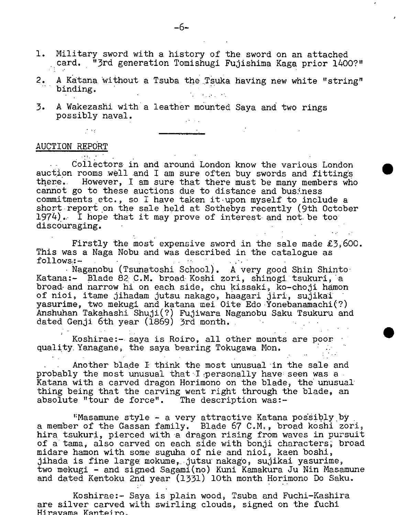- 1. Military sword with a history of the sword on an attached card. "3rd generation Tomishugi Fujishima Kaga prior 1400?"
- 2. A Katana without a Tsuba the Tsuka having new white "string"  $\hbox{binding.}$
- 3. A Wakezashi with a leather mounted Saya and two rings possibly naval.

# AUCTION *REPORT*

Collectors in and around London know the various London auction rooms well and I am sure often buy swords and fittings there,. However, I am sure that there must be many members who cannot go to these auctions due to distance and business commitments etc., so I have taken it upon myself to include a short report on the sale held at Sothebys recently (9th October 1974), I hope that it may prove of interest and not be too discouraging.

Firstly the most expensive sword in the sale made  $£3,600.$ This was a Naga Nobu and was described in the catalogue as follows:-

Naganobu (Tsunatoshi School), A very good Shin Shinto Katana:- Blade 82: C.M. broad Koshi zori, shinogi tsukuri, a broad and narrow hi on each side, chu kissaki, ko-choji hamon of nioi, itame jihadam jutsu nakago, haagari jiri, sujikat yasurime, two mekugi and katana mei Oite Edo Yonebanamachi(?) Anshuhan Takahashi Shuji(?) Fu,jiwara Naganobu Saku Tsukuru and dated Genji 6th year (1869) 3rd month.

Koshirae:- saya is Roiro, all other mounts are poor quality. Yanagane, the saya bearing Tokugawa Mon.

Another blade I think the most unusual in the sale and probably the most unusual that I personally have: seen was a Katana with a carved dragon Horimono on the blade, the unusual thing being that the carving went right through the blade, an absolute "tour de force". The description was:-

"Masamune style - a very attractive Katana possibly by a member of the Gassan family. Blade 67 C.M., broad koshi zori, hira tsukuri, pierced with a dragon rising from waves in pursuit of a tama, also carved on each side with bonji characters; broad midare hamon with some suguha of nie and nioi, kaen boshi, jihada is fine large mokume, jutsu nakago, sujikai yasurime, two mekugi - and signed Sagami(no) Kuni Kamakura Ju Nin Masamune and dated Kentoku 2nd year (1331) 10th month Horimono Do Saku.

Koshirae:- Saya is plain wood, Tsuba and Fuchi-Kashira are silver carved with swirling clouds, signed on the fuchi Hirayama Kanteiro.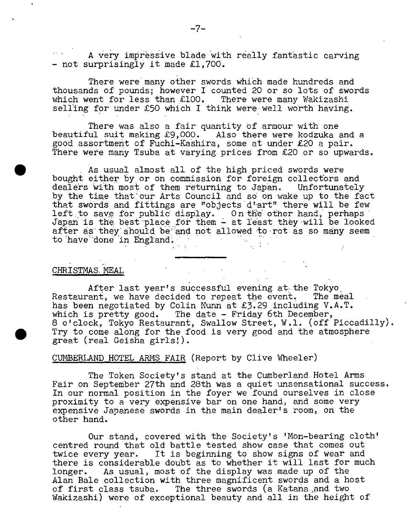A very impreSsive blade with really fantastic carving - not surprisingly it made £1,700.

There were many other swords which made hundreds and thousands of pounds; however I counted 20 or so lots of swords which went for less than £100. There were many Wakizashi selling for under £50 which I think were well worth having.

There was also a fair quantity of armour with one beautiful suit making £9,000. Also there were kodzuka and a good assortment of Fuchi-Kashira, some at under £20 a pair. There were many Tsuba at varying prices from £20 or so upwards.

As usual almost all of the high priced swords were bought either by or on commission for foreign collectors and dealers with most of them returning to Japan. Unfortunately by the time that'our Arts. Council and so on wake up to the fact that swords and fittings are "objects d'art" there will be few left to save for public display. On the other hand, perhaps Japan is the best place for them - at least they will be looked after as they should be and not allowed to rot as so many seem to have done in England.

### CHRISTMAS. MEAL

After last year's successful evening at the Tokyo ant. We have decided to repeat the event. The meal Restaurant, we have decided to repeat the event. has been negotiated by Colin Nunn at  $£3.29$  including V.A.T. which is pretty good. The date - Friday 6th December, 8 o'clock, Tokyo Restaurant, Swallow Street, W,l, (off Piccadilly). Try to come along for the food is very good and the atmosphere great (real Geisha girls).

# CUNBERLAND HOTEL ARMS FAIR (Report by Clive Wheeler)

The Token Society's stand at the Cumberland Hotel Arms Fair on September 27th and 28th was a quiet unsensational success. In our normal position in the foyer we found ourselves in close proximity to a very expensive bar on one hand, and some very expensive Japanese swords in the main dealer's room, on the other hand.

Our stand, covered with the Society's 'Mon-bearing cloth' centred round that old battle tested show case that comes out twice every year. It is beginning to show signs of wear and there is considerable doubt as to whether it will last for much longer. As usual, most of the display was made up of the Alan Bale collection with three magnificent swords and a host<br>of first class tsuba. The three swords (a Katana and two The three swords (a Katana and two Wakizashi) were of exceptional beauty and all in the height of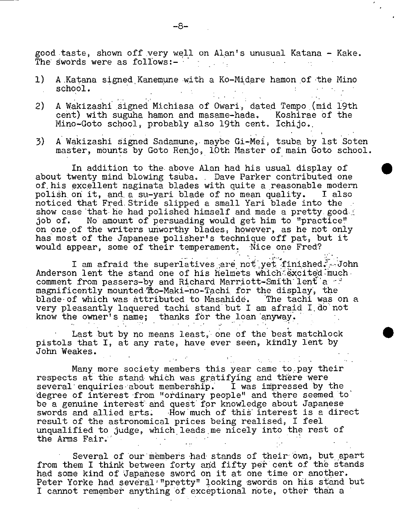good taste, shown off very well on Alan's unusual Katana - Kake. The swords were as follows:- $\mathcal{A}_{\text{max}}$ 

- 1) A .Katana signed Kanemune with a Ko-Midare hamon of the Mino school. i<br>Geografia
- 2) A Wakizashi signed Michiasa of Owari, dated Tempo (mid 19th cent) with suguha hamon and masame-hada. Koshirae of the Mino-Goto school, probably also 19th cent. Ichijo.
- 3) A Wákizashi Signed Sadamune, maybe Gi-Mei, tsuba by 1st Soten master, mounts by Goto Renjo, 10th Master of main Goto school.

 $\bullet$ 

 $\bullet$ 

In addition to the above Alan had his usual display of about twenty mind blowing tsuba. Dave Parker contributed one of. his excellent ñaginata blades with quite a reasonable modern poliâh. on it, and, a su-yari blade of no mean quality. I also noticed that Fred. Stride slipped a small Yari blade into the show case that he had polished himself and made a pretty good. job of. No amount of persuading would get him to "practice' on one of the writers unworthy blades, however, as he not only has most of the Japanese polisher's technique off pat, but it would appear, some of their temperament. Nice one Fred?

I am afraid the superlatives are not yet finished. John Anderson lent the stand one of his helmets which  $\ddot{\text{excit}}$  which comment from passers-by and Richard Marriott-Smith lent a  $\cdot$ magnificently mounted to-Maki-no-Tachi for the display, the blade of which was attributed to Masahide. The tachi was on a very pleasantly laquered tachi stand' but I am afraid I,do'not know the owner's name; thanks for the loan anyway.

Last but by no means least, one of the best matchlock pistols that I, at any rate, have ever seen, kindly lent by John Weakes.  $\mathcal{L}_{\text{max}}$  ,  $\mathcal{L}_{\text{max}}$ 

Many more society members this year came to pay their respects at the stand which was gratifying and there were several enquiries about membership. I was impressed by the degree of interest from "ordinary people" and there seemed to be a genuine interest" and quest' for knowledge about Japanese swords and allied arts. How much of this interest is a direct result of the astronomical prices being realised, I feel unqualified to judge, which leads me nicely into the rest of the Arms Fair.:

 $\mathcal{L}^{\mathcal{L}}$  , where  $\mathcal{L}^{\mathcal{L}}$  and  $\mathcal{L}^{\mathcal{L}}$  , where  $\mathcal{L}^{\mathcal{L}}$  are  $\mathcal{L}^{\mathcal{L}}$ 

Several of our members had stands of their own, but apart from them I think between forty and fifty per cent of the stands had some kind of Japahese sword on it at one time or another. Peter Yorke had several "pretty" looking swords on his stand but I cannot remember anything of exceptional note, other than a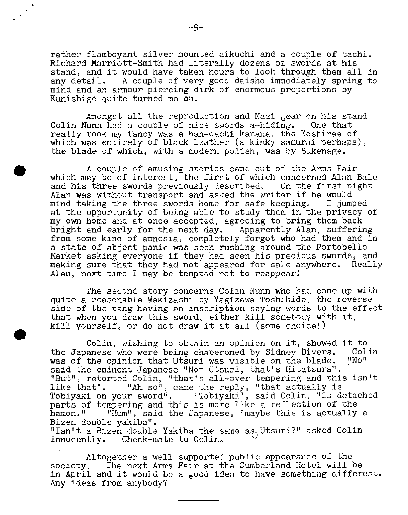rather flamboyant silver mounted aikuchi and a couple of tachi. Richard Marriott-Smith had literally dozens of swords at his stand, and it would have taken hours to lool: through them all in any detail. A couple of very good daisho immediately spring to mind and an armour piercing dirk of enormous proportions by Kunishige quite turned me on.

Amongst all the reproduction and Nazi gear on his stand Colin Nunn had a couple of nice swords a-hiding. One that really took my fancy was a han-dachi katana, the Koshirae of which was entirely of black leather (a kinky samurai perhaps), the blade of which, with a modern polish, was by Sukenage.

A couple of amusing stories came out of the Arms Fair which may be of interest, the first of which concerned Alan Bale<br>and his three swords previously described. On the first night and his three swords previously described. Alan was without transport and asked the writer if he would<br>mind taking the three swords home for safe keeping. I jumped mind taking the three swords home for safe keeping. at the opportunity of being able to study them in the privacy of my own home and at once accepted, agreeing to bring them back<br>bright and early for the next day. Apparently Alan, suffering bright and early for the next day. from some kind of amnesia, completely forgot who had them and in a state of abject panic was seen rushing around the Portobello Market asking everyone if they had seen his precious swords, and making sure that they had not appeared for sale anywhere. Really Alan, next time I may be tempted not to reappear!

The second story concerns Colin Nunn who had come up with quite a reasonable Wakizashi by Yagizawa Toshihide, the reverse side of the tang having an inscription saying words to the effect that when you draw this sword, either kill somebody with it, kill yourself, or do not draw it at all (some choice!)

Colin, wishing to obtain an opinion on it, showed it to<br>Lanese who were being chaperoned by Sidney Divers. Colin the Japanese who were being chaperoned by Sidney Divers. Col<br>was of the opinion that Utsuri was visible on the blade. "No" was of the opinion that Utsuri was visible on the blade. said the eminent Japanese "Not Utsuri, that's Hitatsura". "But", retorted Colin, "that's all-over tempering and this isn't like that". "Ah so", came the reply, "that actually is Tobiyaki on your sword". "Tobiyaki", said Colin, "is detached parts of tempering and this is more like a reflection of the hamon." "Hum", said the Japanese, "maybe this is actually "Hum", said the Japanese, "maybe this is actually a Bizen double yakiba", "Isn't a Bizen double Yakiba the same as Utsuri?" asked Colin innocently. Check-mate to Colin.

Altogether a well supported public appearance of the society. The next Arms Fair at the Cumberland Hotel will be in April and it would be a good idea to have something different. Any ideas from anybody?